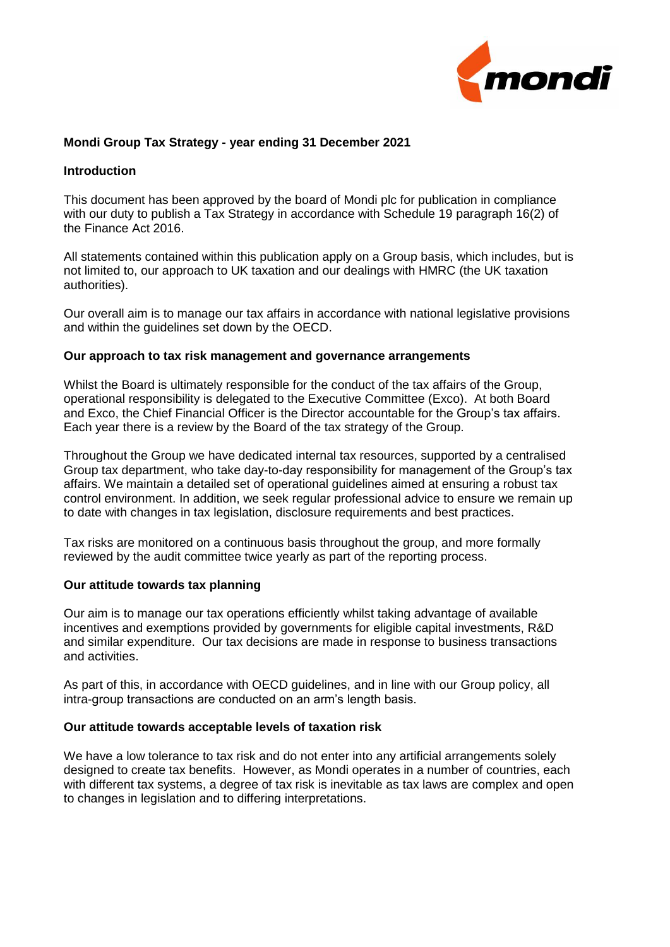

## **Mondi Group Tax Strategy - year ending 31 December 2021**

### **Introduction**

This document has been approved by the board of Mondi plc for publication in compliance with our duty to publish a Tax Strategy in accordance with Schedule 19 paragraph 16(2) of the Finance Act 2016.

All statements contained within this publication apply on a Group basis, which includes, but is not limited to, our approach to UK taxation and our dealings with HMRC (the UK taxation authorities).

Our overall aim is to manage our tax affairs in accordance with national legislative provisions and within the guidelines set down by the OECD.

#### **Our approach to tax risk management and governance arrangements**

Whilst the Board is ultimately responsible for the conduct of the tax affairs of the Group, operational responsibility is delegated to the Executive Committee (Exco). At both Board and Exco, the Chief Financial Officer is the Director accountable for the Group's tax affairs. Each year there is a review by the Board of the tax strategy of the Group.

Throughout the Group we have dedicated internal tax resources, supported by a centralised Group tax department, who take day-to-day responsibility for management of the Group's tax affairs. We maintain a detailed set of operational guidelines aimed at ensuring a robust tax control environment. In addition, we seek regular professional advice to ensure we remain up to date with changes in tax legislation, disclosure requirements and best practices.

Tax risks are monitored on a continuous basis throughout the group, and more formally reviewed by the audit committee twice yearly as part of the reporting process.

#### **Our attitude towards tax planning**

Our aim is to manage our tax operations efficiently whilst taking advantage of available incentives and exemptions provided by governments for eligible capital investments, R&D and similar expenditure. Our tax decisions are made in response to business transactions and activities.

As part of this, in accordance with OECD guidelines, and in line with our Group policy, all intra-group transactions are conducted on an arm's length basis.

### **Our attitude towards acceptable levels of taxation risk**

We have a low tolerance to tax risk and do not enter into any artificial arrangements solely designed to create tax benefits. However, as Mondi operates in a number of countries, each with different tax systems, a degree of tax risk is inevitable as tax laws are complex and open to changes in legislation and to differing interpretations.